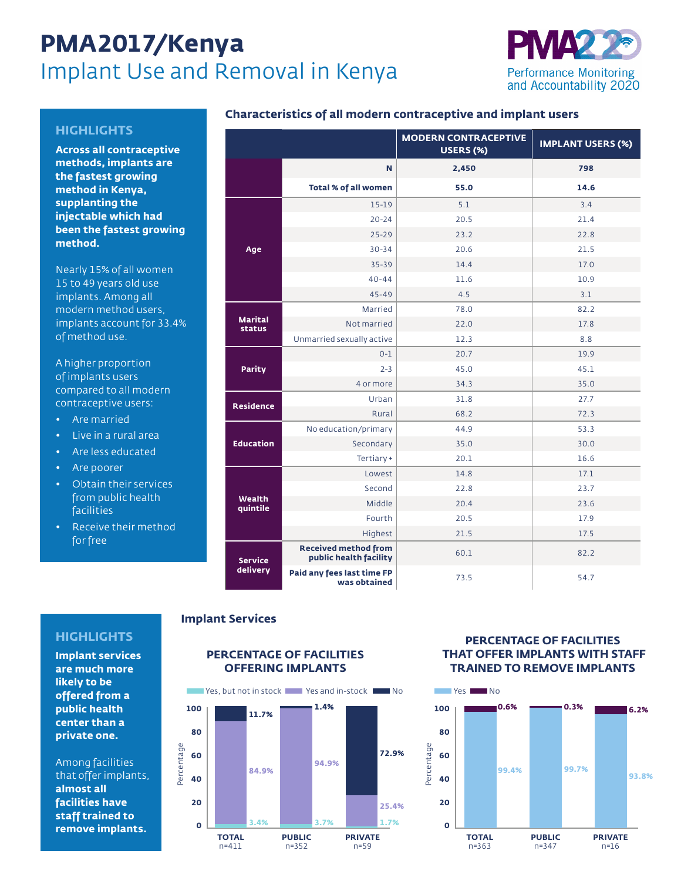# **PMA2017/Kenya** Implant Use and Removal in Kenya



### **HIGHLIGHTS**

**Across all contraceptive methods, implants are the fastest growing method in Kenya, supplanting the injectable which had been the fastest growing method.**

Nearly 15% of all women 15 to 49 years old use implants. Among all modern method users, implants account for 33.4% of method use.

A higher proportion of implants users compared to all modern contraceptive users:

- Are married
- Live in a rural area
- Are less educated
- Are poorer
- Obtain their services from public health facilities
- Receive their method for free

|                            |                                                       | <b>MODERN CONTRACEPTIVE</b><br>USERS (%) | <b>IMPLANT USERS (%)</b> |  |
|----------------------------|-------------------------------------------------------|------------------------------------------|--------------------------|--|
|                            | N                                                     | 2,450                                    | 798                      |  |
|                            | <b>Total % of all women</b>                           | 55.0                                     | 14.6                     |  |
| Age                        | $15-19$                                               | 5.1                                      | 3.4                      |  |
|                            | $20 - 24$                                             | 20.5                                     | 21.4                     |  |
|                            | $25 - 29$                                             | 23.2                                     | 22.8                     |  |
|                            | $30 - 34$                                             | 20.6                                     | 21.5                     |  |
|                            | $35 - 39$                                             | 14.4                                     | 17.0                     |  |
|                            | $40 - 44$                                             | 11.6                                     | 10.9                     |  |
|                            | $45 - 49$                                             | 4.5                                      | 3.1                      |  |
| <b>Marital</b><br>status   | Married                                               | 78.0                                     | 82.2                     |  |
|                            | Not married                                           | 22.0                                     | 17.8                     |  |
|                            | Unmarried sexually active                             | 12.3                                     | 8.8                      |  |
| <b>Parity</b>              | $0 - 1$                                               | 20.7                                     | 19.9                     |  |
|                            | $2 - 3$                                               | 45.0                                     | 45.1                     |  |
|                            | 4 or more                                             | 34.3                                     | 35.0                     |  |
| <b>Residence</b>           | Urban                                                 | 31.8                                     | 27.7                     |  |
|                            | Rural                                                 | 68.2                                     | 72.3                     |  |
| <b>Education</b>           | No education/primary                                  | 44.9                                     | 53.3                     |  |
|                            | Secondary                                             | 35.0                                     | 30.0                     |  |
|                            | Tertiary +                                            | 20.1                                     | 16.6                     |  |
| <b>Wealth</b><br>quintile  | Lowest                                                | 14.8                                     | 17.1                     |  |
|                            | Second                                                | 22.8                                     | 23.7                     |  |
|                            | Middle                                                | 20.4                                     | 23.6                     |  |
|                            | Fourth                                                | 20.5                                     | 17.9                     |  |
|                            | Highest                                               | 21.5                                     | 17.5                     |  |
| <b>Service</b><br>delivery | <b>Received method from</b><br>public health facility | 60.1                                     | 82.2                     |  |
|                            | Paid any fees last time FP<br>was obtained            | 73.5                                     | 54.7                     |  |

#### **Implant Services**

## **HIGHLIGHTS**

**Implant services are much more likely to be offered from a public health center than a private one.**

Among facilities that offer implants, **almost all facilities have staff trained to remove implants.**

## **PERCENTAGE OF FACILITIES OFFERING IMPLANTS**



#### **PERCENTAGE OF FACILITIES THAT OFFER IMPLANTS WITH STAFF TRAINED TO REMOVE IMPLANTS**